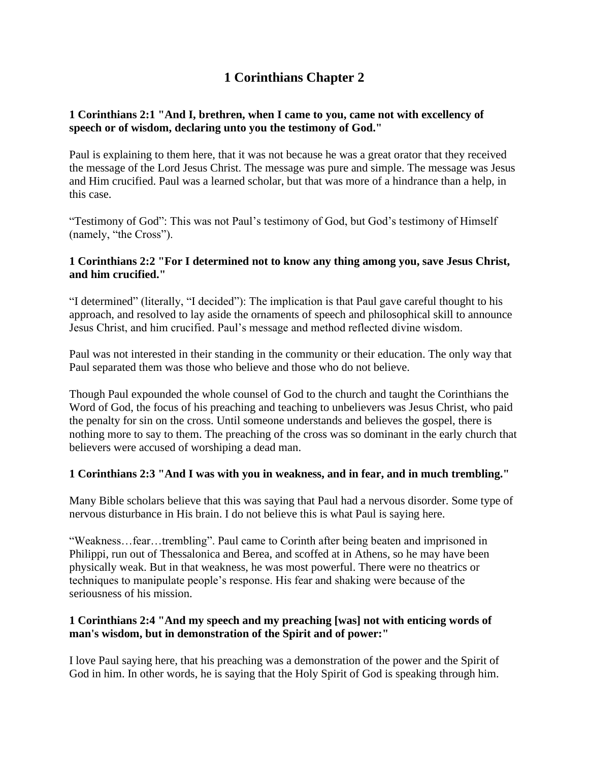# **1 Corinthians Chapter 2**

# **1 Corinthians 2:1 "And I, brethren, when I came to you, came not with excellency of speech or of wisdom, declaring unto you the testimony of God."**

Paul is explaining to them here, that it was not because he was a great orator that they received the message of the Lord Jesus Christ. The message was pure and simple. The message was Jesus and Him crucified. Paul was a learned scholar, but that was more of a hindrance than a help, in this case.

"Testimony of God": This was not Paul's testimony of God, but God's testimony of Himself (namely, "the Cross").

## **1 Corinthians 2:2 "For I determined not to know any thing among you, save Jesus Christ, and him crucified."**

"I determined" (literally, "I decided"): The implication is that Paul gave careful thought to his approach, and resolved to lay aside the ornaments of speech and philosophical skill to announce Jesus Christ, and him crucified. Paul's message and method reflected divine wisdom.

Paul was not interested in their standing in the community or their education. The only way that Paul separated them was those who believe and those who do not believe.

Though Paul expounded the whole counsel of God to the church and taught the Corinthians the Word of God, the focus of his preaching and teaching to unbelievers was Jesus Christ, who paid the penalty for sin on the cross. Until someone understands and believes the gospel, there is nothing more to say to them. The preaching of the cross was so dominant in the early church that believers were accused of worshiping a dead man.

# **1 Corinthians 2:3 "And I was with you in weakness, and in fear, and in much trembling."**

Many Bible scholars believe that this was saying that Paul had a nervous disorder. Some type of nervous disturbance in His brain. I do not believe this is what Paul is saying here.

"Weakness…fear…trembling". Paul came to Corinth after being beaten and imprisoned in Philippi, run out of Thessalonica and Berea, and scoffed at in Athens, so he may have been physically weak. But in that weakness, he was most powerful. There were no theatrics or techniques to manipulate people's response. His fear and shaking were because of the seriousness of his mission.

#### **1 Corinthians 2:4 "And my speech and my preaching [was] not with enticing words of man's wisdom, but in demonstration of the Spirit and of power:"**

I love Paul saying here, that his preaching was a demonstration of the power and the Spirit of God in him. In other words, he is saying that the Holy Spirit of God is speaking through him.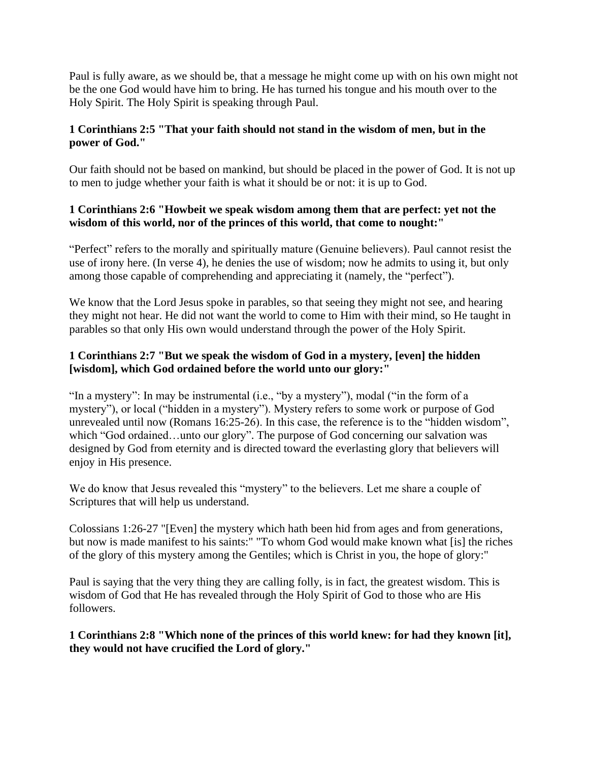Paul is fully aware, as we should be, that a message he might come up with on his own might not be the one God would have him to bring. He has turned his tongue and his mouth over to the Holy Spirit. The Holy Spirit is speaking through Paul.

# **1 Corinthians 2:5 "That your faith should not stand in the wisdom of men, but in the power of God."**

Our faith should not be based on mankind, but should be placed in the power of God. It is not up to men to judge whether your faith is what it should be or not: it is up to God.

# **1 Corinthians 2:6 "Howbeit we speak wisdom among them that are perfect: yet not the wisdom of this world, nor of the princes of this world, that come to nought:"**

"Perfect" refers to the morally and spiritually mature (Genuine believers). Paul cannot resist the use of irony here. (In verse 4), he denies the use of wisdom; now he admits to using it, but only among those capable of comprehending and appreciating it (namely, the "perfect").

We know that the Lord Jesus spoke in parables, so that seeing they might not see, and hearing they might not hear. He did not want the world to come to Him with their mind, so He taught in parables so that only His own would understand through the power of the Holy Spirit.

# **1 Corinthians 2:7 "But we speak the wisdom of God in a mystery, [even] the hidden [wisdom], which God ordained before the world unto our glory:"**

"In a mystery": In may be instrumental (i.e., "by a mystery"), modal ("in the form of a mystery"), or local ("hidden in a mystery"). Mystery refers to some work or purpose of God unrevealed until now (Romans 16:25-26). In this case, the reference is to the "hidden wisdom", which "God ordained…unto our glory". The purpose of God concerning our salvation was designed by God from eternity and is directed toward the everlasting glory that believers will enjoy in His presence.

We do know that Jesus revealed this "mystery" to the believers. Let me share a couple of Scriptures that will help us understand.

Colossians 1:26-27 "[Even] the mystery which hath been hid from ages and from generations, but now is made manifest to his saints:" "To whom God would make known what [is] the riches of the glory of this mystery among the Gentiles; which is Christ in you, the hope of glory:"

Paul is saying that the very thing they are calling folly, is in fact, the greatest wisdom. This is wisdom of God that He has revealed through the Holy Spirit of God to those who are His followers.

**1 Corinthians 2:8 "Which none of the princes of this world knew: for had they known [it], they would not have crucified the Lord of glory."**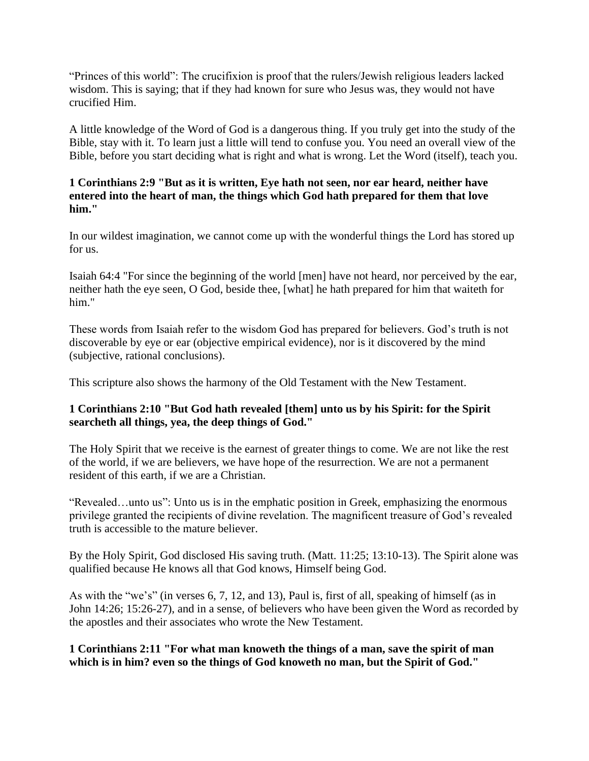"Princes of this world": The crucifixion is proof that the rulers/Jewish religious leaders lacked wisdom. This is saying; that if they had known for sure who Jesus was, they would not have crucified Him.

A little knowledge of the Word of God is a dangerous thing. If you truly get into the study of the Bible, stay with it. To learn just a little will tend to confuse you. You need an overall view of the Bible, before you start deciding what is right and what is wrong. Let the Word (itself), teach you.

#### **1 Corinthians 2:9 "But as it is written, Eye hath not seen, nor ear heard, neither have entered into the heart of man, the things which God hath prepared for them that love him."**

In our wildest imagination, we cannot come up with the wonderful things the Lord has stored up for us.

Isaiah 64:4 "For since the beginning of the world [men] have not heard, nor perceived by the ear, neither hath the eye seen, O God, beside thee, [what] he hath prepared for him that waiteth for him."

These words from Isaiah refer to the wisdom God has prepared for believers. God's truth is not discoverable by eye or ear (objective empirical evidence), nor is it discovered by the mind (subjective, rational conclusions).

This scripture also shows the harmony of the Old Testament with the New Testament.

# **1 Corinthians 2:10 "But God hath revealed [them] unto us by his Spirit: for the Spirit searcheth all things, yea, the deep things of God."**

The Holy Spirit that we receive is the earnest of greater things to come. We are not like the rest of the world, if we are believers, we have hope of the resurrection. We are not a permanent resident of this earth, if we are a Christian.

"Revealed…unto us": Unto us is in the emphatic position in Greek, emphasizing the enormous privilege granted the recipients of divine revelation. The magnificent treasure of God's revealed truth is accessible to the mature believer.

By the Holy Spirit, God disclosed His saving truth. (Matt. 11:25; 13:10-13). The Spirit alone was qualified because He knows all that God knows, Himself being God.

As with the "we's" (in verses 6, 7, 12, and 13), Paul is, first of all, speaking of himself (as in John 14:26; 15:26-27), and in a sense, of believers who have been given the Word as recorded by the apostles and their associates who wrote the New Testament.

**1 Corinthians 2:11 "For what man knoweth the things of a man, save the spirit of man which is in him? even so the things of God knoweth no man, but the Spirit of God."**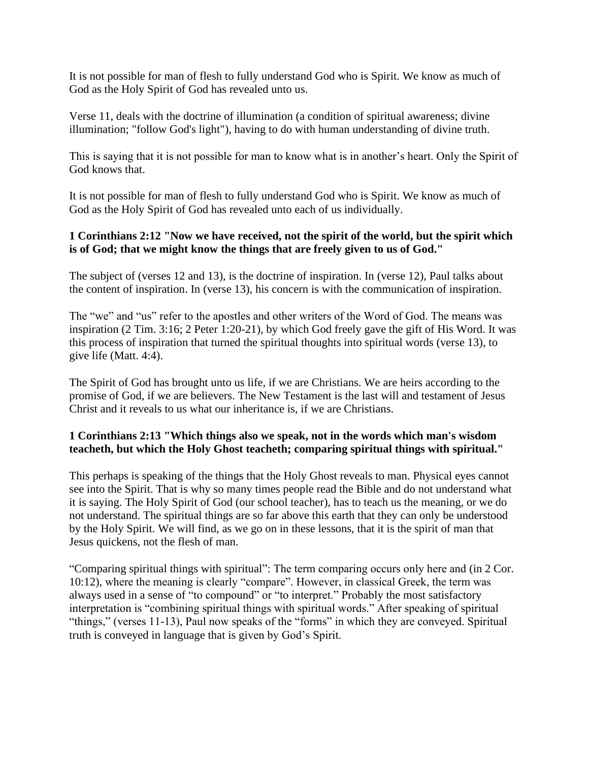It is not possible for man of flesh to fully understand God who is Spirit. We know as much of God as the Holy Spirit of God has revealed unto us.

Verse 11, deals with the doctrine of illumination (a condition of spiritual awareness; divine illumination; "follow God's light"), having to do with human understanding of divine truth.

This is saying that it is not possible for man to know what is in another's heart. Only the Spirit of God knows that.

It is not possible for man of flesh to fully understand God who is Spirit. We know as much of God as the Holy Spirit of God has revealed unto each of us individually.

#### **1 Corinthians 2:12 "Now we have received, not the spirit of the world, but the spirit which is of God; that we might know the things that are freely given to us of God."**

The subject of (verses 12 and 13), is the doctrine of inspiration. In (verse 12), Paul talks about the content of inspiration. In (verse 13), his concern is with the communication of inspiration.

The "we" and "us" refer to the apostles and other writers of the Word of God. The means was inspiration (2 Tim. 3:16; 2 Peter 1:20-21), by which God freely gave the gift of His Word. It was this process of inspiration that turned the spiritual thoughts into spiritual words (verse 13), to give life (Matt. 4:4).

The Spirit of God has brought unto us life, if we are Christians. We are heirs according to the promise of God, if we are believers. The New Testament is the last will and testament of Jesus Christ and it reveals to us what our inheritance is, if we are Christians.

# **1 Corinthians 2:13 "Which things also we speak, not in the words which man's wisdom teacheth, but which the Holy Ghost teacheth; comparing spiritual things with spiritual."**

This perhaps is speaking of the things that the Holy Ghost reveals to man. Physical eyes cannot see into the Spirit. That is why so many times people read the Bible and do not understand what it is saying. The Holy Spirit of God (our school teacher), has to teach us the meaning, or we do not understand. The spiritual things are so far above this earth that they can only be understood by the Holy Spirit. We will find, as we go on in these lessons, that it is the spirit of man that Jesus quickens, not the flesh of man.

"Comparing spiritual things with spiritual": The term comparing occurs only here and (in 2 Cor. 10:12), where the meaning is clearly "compare". However, in classical Greek, the term was always used in a sense of "to compound" or "to interpret." Probably the most satisfactory interpretation is "combining spiritual things with spiritual words." After speaking of spiritual "things," (verses 11-13), Paul now speaks of the "forms" in which they are conveyed. Spiritual truth is conveyed in language that is given by God's Spirit.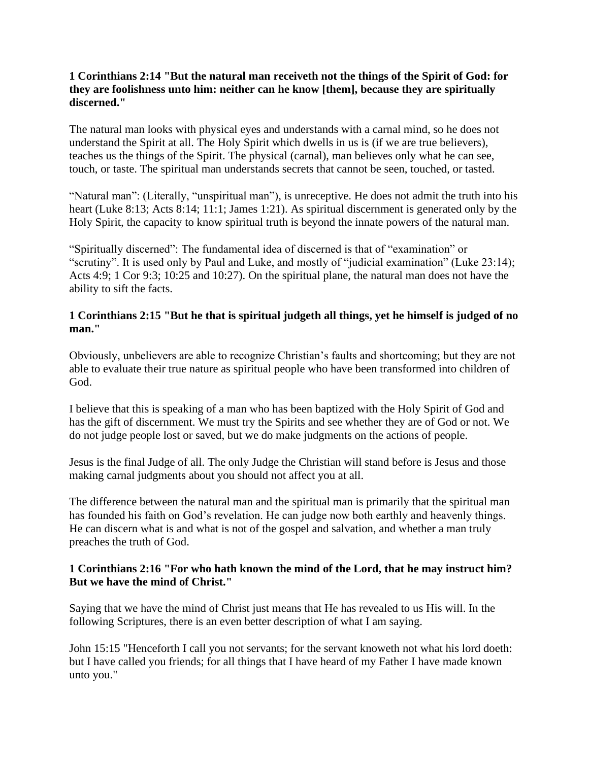### **1 Corinthians 2:14 "But the natural man receiveth not the things of the Spirit of God: for they are foolishness unto him: neither can he know [them], because they are spiritually discerned."**

The natural man looks with physical eyes and understands with a carnal mind, so he does not understand the Spirit at all. The Holy Spirit which dwells in us is (if we are true believers), teaches us the things of the Spirit. The physical (carnal), man believes only what he can see, touch, or taste. The spiritual man understands secrets that cannot be seen, touched, or tasted.

"Natural man": (Literally, "unspiritual man"), is unreceptive. He does not admit the truth into his heart (Luke 8:13; Acts 8:14; 11:1; James 1:21). As spiritual discernment is generated only by the Holy Spirit, the capacity to know spiritual truth is beyond the innate powers of the natural man.

"Spiritually discerned": The fundamental idea of discerned is that of "examination" or "scrutiny". It is used only by Paul and Luke, and mostly of "judicial examination" (Luke 23:14); Acts 4:9; 1 Cor 9:3; 10:25 and 10:27). On the spiritual plane, the natural man does not have the ability to sift the facts.

## **1 Corinthians 2:15 "But he that is spiritual judgeth all things, yet he himself is judged of no man."**

Obviously, unbelievers are able to recognize Christian's faults and shortcoming; but they are not able to evaluate their true nature as spiritual people who have been transformed into children of God.

I believe that this is speaking of a man who has been baptized with the Holy Spirit of God and has the gift of discernment. We must try the Spirits and see whether they are of God or not. We do not judge people lost or saved, but we do make judgments on the actions of people.

Jesus is the final Judge of all. The only Judge the Christian will stand before is Jesus and those making carnal judgments about you should not affect you at all.

The difference between the natural man and the spiritual man is primarily that the spiritual man has founded his faith on God's revelation. He can judge now both earthly and heavenly things. He can discern what is and what is not of the gospel and salvation, and whether a man truly preaches the truth of God.

#### **1 Corinthians 2:16 "For who hath known the mind of the Lord, that he may instruct him? But we have the mind of Christ."**

Saying that we have the mind of Christ just means that He has revealed to us His will. In the following Scriptures, there is an even better description of what I am saying.

John 15:15 "Henceforth I call you not servants; for the servant knoweth not what his lord doeth: but I have called you friends; for all things that I have heard of my Father I have made known unto you."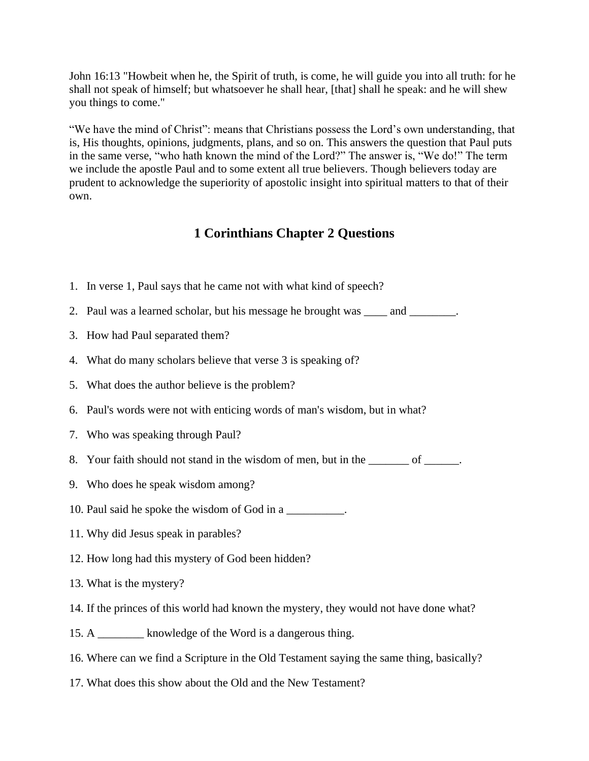John 16:13 "Howbeit when he, the Spirit of truth, is come, he will guide you into all truth: for he shall not speak of himself; but whatsoever he shall hear, [that] shall he speak: and he will shew you things to come."

"We have the mind of Christ": means that Christians possess the Lord's own understanding, that is, His thoughts, opinions, judgments, plans, and so on. This answers the question that Paul puts in the same verse, "who hath known the mind of the Lord?" The answer is, "We do!" The term we include the apostle Paul and to some extent all true believers. Though believers today are prudent to acknowledge the superiority of apostolic insight into spiritual matters to that of their own.

# **1 Corinthians Chapter 2 Questions**

- 1. In verse 1, Paul says that he came not with what kind of speech?
- 2. Paul was a learned scholar, but his message he brought was \_\_\_\_\_ and \_\_\_\_\_\_\_\_.
- 3. How had Paul separated them?
- 4. What do many scholars believe that verse 3 is speaking of?
- 5. What does the author believe is the problem?
- 6. Paul's words were not with enticing words of man's wisdom, but in what?
- 7. Who was speaking through Paul?
- 8. Your faith should not stand in the wisdom of men, but in the \_\_\_\_\_\_\_ of \_\_\_\_\_\_.
- 9. Who does he speak wisdom among?
- 10. Paul said he spoke the wisdom of God in a
- 11. Why did Jesus speak in parables?
- 12. How long had this mystery of God been hidden?
- 13. What is the mystery?
- 14. If the princes of this world had known the mystery, they would not have done what?
- 15. A \_\_\_\_\_\_\_\_ knowledge of the Word is a dangerous thing.
- 16. Where can we find a Scripture in the Old Testament saying the same thing, basically?
- 17. What does this show about the Old and the New Testament?